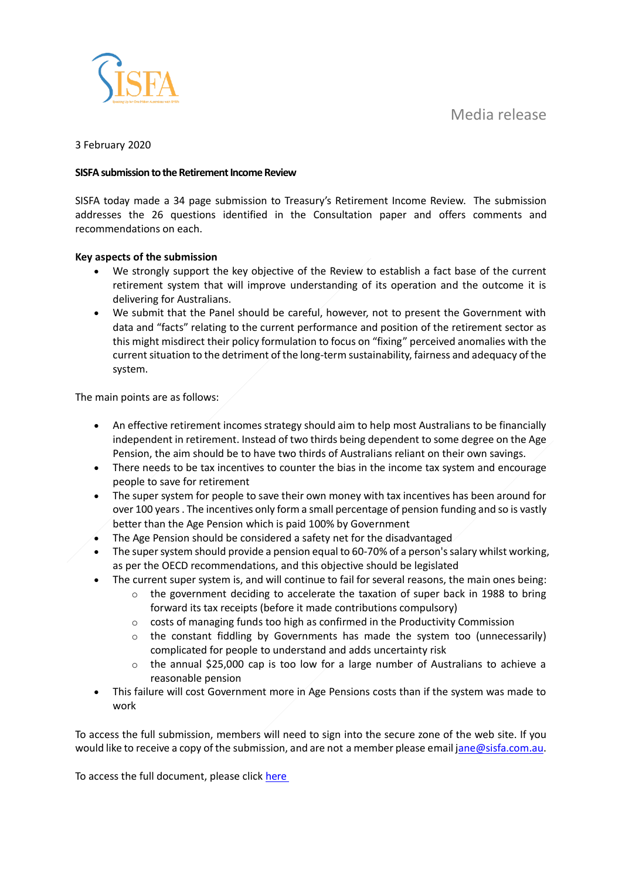Media release



## 3 February 2020

## **SISFA submission to the Retirement Income Review**

SISFA today made a 34 page submission to Treasury's Retirement Income Review. The submission addresses the 26 questions identified in the Consultation paper and offers comments and recommendations on each.

## **Key aspects of the submission**

- We strongly support the key objective of the Review to establish a fact base of the current retirement system that will improve understanding of its operation and the outcome it is delivering for Australians.
- We submit that the Panel should be careful, however, not to present the Government with data and "facts" relating to the current performance and position of the retirement sector as this might misdirect their policy formulation to focus on "fixing" perceived anomalies with the current situation to the detriment of the long-term sustainability, fairness and adequacy of the system.

The main points are as follows:

- An effective retirement incomes strategy should aim to help most Australians to be financially independent in retirement. Instead of two thirds being dependent to some degree on the Age Pension, the aim should be to have two thirds of Australians reliant on their own savings.
- There needs to be tax incentives to counter the bias in the income tax system and encourage people to save for retirement
- The super system for people to save their own money with tax incentives has been around for over 100 years . The incentives only form a small percentage of pension funding and so is vastly better than the Age Pension which is paid 100% by Government
- The Age Pension should be considered a safety net for the disadvantaged
- The super system should provide a pension equal to 60-70% of a person's salary whilst working, as per the OECD recommendations, and this objective should be legislated
	- The current super system is, and will continue to fail for several reasons, the main ones being:
		- $\circ$  the government deciding to accelerate the taxation of super back in 1988 to bring forward its tax receipts (before it made contributions compulsory)
		- o costs of managing funds too high as confirmed in the Productivity Commission
		- $\circ$  the constant fiddling by Governments has made the system too (unnecessarily) complicated for people to understand and adds uncertainty risk
		- $\circ$  the annual \$25,000 cap is too low for a large number of Australians to achieve a reasonable pension
- This failure will cost Government more in Age Pensions costs than if the system was made to work

To access the full submission, members will need to sign into the secure zone of the web site. If you would like to receive a copy of the submission, and are not a member please email [jane@sisfa.com.au.](mailto:jane@sisfa.com.au)

To access the full document, please click [here](https://www.sisfa.com.au/sisfa-submissions)